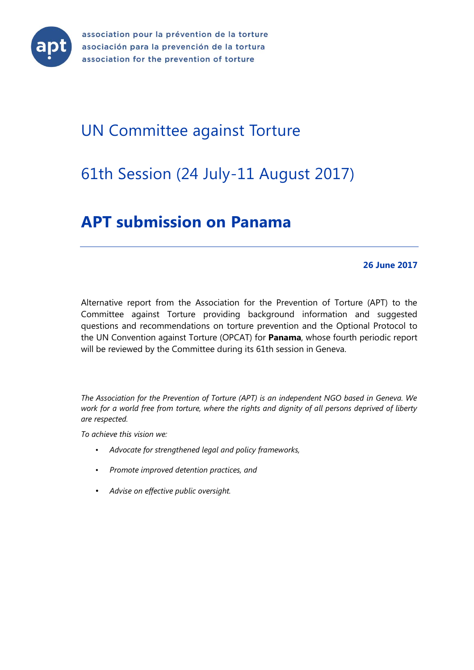

association pour la prévention de la torture asociación para la prevención de la tortura association for the prevention of torture

# UN Committee against Torture

# 61th Session (24 July-11 August 2017)

# **APT submission on Panama**

#### **26 June 2017**

Alternative report from the Association for the Prevention of Torture (APT) to the Committee against Torture providing background information and suggested questions and recommendations on torture prevention and the Optional Protocol to the UN Convention against Torture (OPCAT) for **Panama**, whose fourth periodic report will be reviewed by the Committee during its 61th session in Geneva.

*The Association for the Prevention of Torture (APT) is an independent NGO based in Geneva. We work for a world free from torture, where the rights and dignity of all persons deprived of liberty are respected.* 

*To achieve this vision we:* 

- *Advocate for strengthened legal and policy frameworks,*
- *Promote improved detention practices, and*
- *Advise on effective public oversight.*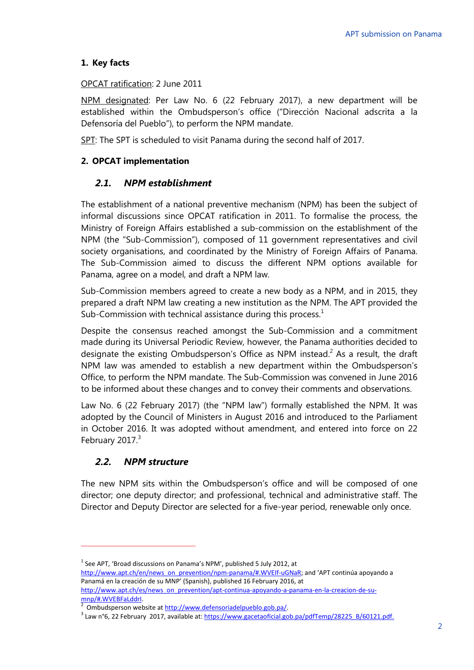## **1. Key facts**

#### OPCAT ratification: 2 June 2011

NPM designated: Per Law No. 6 (22 February 2017), a new department will be established within the Ombudsperson's office ("Dirección Nacional adscrita a la Defensoría del Pueblo"), to perform the NPM mandate.

SPT: The SPT is scheduled to visit Panama during the second half of 2017.

## **2. OPCAT implementation**

## *2.1. NPM establishment*

The establishment of a national preventive mechanism (NPM) has been the subject of informal discussions since OPCAT ratification in 2011. To formalise the process, the Ministry of Foreign Affairs established a sub-commission on the establishment of the NPM (the "Sub-Commission"), composed of 11 government representatives and civil society organisations, and coordinated by the Ministry of Foreign Affairs of Panama. The Sub-Commission aimed to discuss the different NPM options available for Panama, agree on a model, and draft a NPM law.

Sub-Commission members agreed to create a new body as a NPM, and in 2015, they prepared a draft NPM law creating a new institution as the NPM. The APT provided the Sub-Commission with technical assistance during this process.<sup>1</sup>

Despite the consensus reached amongst the Sub-Commission and a commitment made during its Universal Periodic Review, however, the Panama authorities decided to designate the existing Ombudsperson's Office as NPM instead.<sup>2</sup> As a result, the draft NPM law was amended to establish a new department within the Ombudsperson's Office, to perform the NPM mandate. The Sub-Commission was convened in June 2016 to be informed about these changes and to convey their comments and observations.

Law No. 6 (22 February 2017) (the "NPM law") formally established the NPM. It was adopted by the Council of Ministers in August 2016 and introduced to the Parliament in October 2016. It was adopted without amendment, and entered into force on 22 February 2017.<sup>3</sup>

# *2.2. NPM structure*

 $\overline{a}$ 

The new NPM sits within the Ombudsperson's office and will be composed of one director; one deputy director; and professional, technical and administrative staff. The Director and Deputy Director are selected for a five-year period, renewable only once.

[http://www.apt.ch/es/news\\_on\\_prevention/apt-continua-apoyando-a-panama-en-la-creacion-de-su](http://www.apt.ch/es/news_on_prevention/apt-continua-apoyando-a-panama-en-la-creacion-de-su-mnp/#.WVEBFaLddrI)mnp/#.WVEBFaLddrl.

 $^{1}$  See APT, 'Broad discussions on Panama's NPM', published 5 July 2012, at

[http://www.apt.ch/en/news\\_on\\_prevention/npm-panama/#.WVEIf-uGNaR](http://www.apt.ch/en/news_on_prevention/npm-panama/#.WVEIf-uGNaR); and 'APT continúa apoyando a Panamá en la creación de su MNP' (Spanish), published 16 February 2016, at

Ombudsperson website a[t http://www.defensoriadelpueblo.gob.pa/.](http://www.defensoriadelpueblo.gob.pa/)

<sup>&</sup>lt;sup>3</sup> Law n°6, 22 February 2017, available at[: https://www.gacetaoficial.gob.pa/pdfTemp/28225\\_B/60121.pdf.](https://www.gacetaoficial.gob.pa/pdfTemp/28225_B/60121.pdf)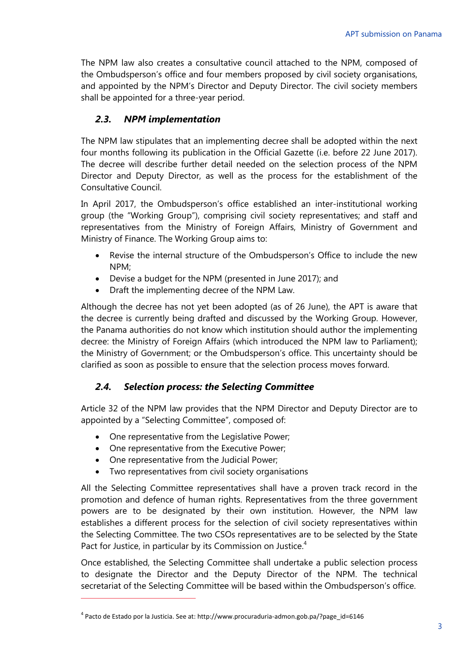The NPM law also creates a consultative council attached to the NPM, composed of the Ombudsperson's office and four members proposed by civil society organisations, and appointed by the NPM's Director and Deputy Director. The civil society members shall be appointed for a three-year period.

# *2.3. NPM implementation*

The NPM law stipulates that an implementing decree shall be adopted within the next four months following its publication in the Official Gazette (i.e. before 22 June 2017). The decree will describe further detail needed on the selection process of the NPM Director and Deputy Director, as well as the process for the establishment of the Consultative Council.

In April 2017, the Ombudsperson's office established an inter-institutional working group (the "Working Group"), comprising civil society representatives; and staff and representatives from the Ministry of Foreign Affairs, Ministry of Government and Ministry of Finance. The Working Group aims to:

- Revise the internal structure of the Ombudsperson's Office to include the new NPM;
- Devise a budget for the NPM (presented in June 2017); and
- Draft the implementing decree of the NPM Law.

Although the decree has not yet been adopted (as of 26 June), the APT is aware that the decree is currently being drafted and discussed by the Working Group. However, the Panama authorities do not know which institution should author the implementing decree: the Ministry of Foreign Affairs (which introduced the NPM law to Parliament); the Ministry of Government; or the Ombudsperson's office. This uncertainty should be clarified as soon as possible to ensure that the selection process moves forward.

# *2.4. Selection process: the Selecting Committee*

Article 32 of the NPM law provides that the NPM Director and Deputy Director are to appointed by a "Selecting Committee", composed of:

- One representative from the Legislative Power;
- One representative from the Executive Power;
- One representative from the Judicial Power;

 $\overline{a}$ 

Two representatives from civil society organisations

All the Selecting Committee representatives shall have a proven track record in the promotion and defence of human rights. Representatives from the three government powers are to be designated by their own institution. However, the NPM law establishes a different process for the selection of civil society representatives within the Selecting Committee. The two CSOs representatives are to be selected by the State Pact for Justice, in particular by its Commission on Justice.<sup>4</sup>

Once established, the Selecting Committee shall undertake a public selection process to designate the Director and the Deputy Director of the NPM. The technical secretariat of the Selecting Committee will be based within the Ombudsperson's office.

<sup>4</sup> Pacto de Estado por la Justicia. See at: http://www.procuraduria-admon.gob.pa/?page\_id=6146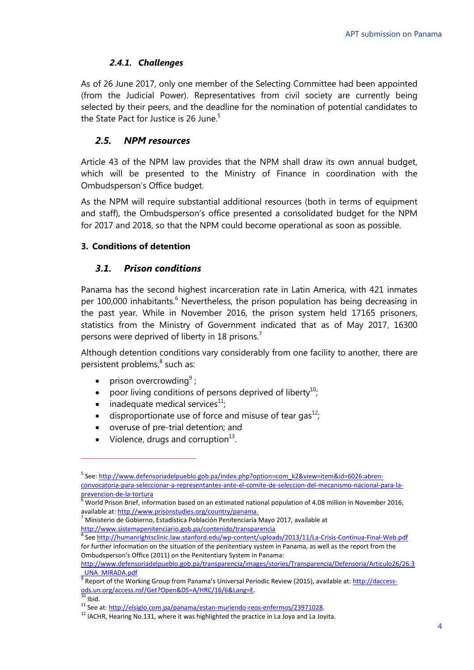## *2.4.1. Challenges*

As of 26 June 2017, only one member of the Selecting Committee had been appointed (from the Judicial Power). Representatives from civil society are currently being selected by their peers, and the deadline for the nomination of potential candidates to the State Pact for Justice is 26 June.<sup>5</sup>

# *2.5. NPM resources*

Article 43 of the NPM law provides that the NPM shall draw its own annual budget, which will be presented to the Ministry of Finance in coordination with the Ombudsperson's Office budget.

As the NPM will require substantial additional resources (both in terms of equipment and staff), the Ombudsperson's office presented a consolidated budget for the NPM for 2017 and 2018, so that the NPM could become operational as soon as possible.

#### **3. Conditions of detention**

## *3.1. Prison conditions*

Panama has the second highest incarceration rate in Latin America, with 421 inmates per 100,000 inhabitants.<sup>6</sup> Nevertheless, the prison population has being decreasing in the past year. While in November 2016, the prison system held 17165 prisoners, statistics from the Ministry of Government indicated that as of May 2017, 16300 persons were deprived of liberty in 18 prisons.<sup>7</sup>

Although detention conditions vary considerably from one facility to another, there are persistent problems,<sup>8</sup> such as:

- prison overcrowding<sup>9</sup>;
- poor living conditions of persons deprived of liberty<sup>10</sup>;
- $\bullet$  inadequate medical services<sup>11</sup>;
- disproportionate use of force and misuse of tear gas<sup>12</sup>;
- overuse of pre-trial detention; and
- Violence, drugs and corruption $^{13}$ .

 $\overline{a}$ 

<sup>&</sup>lt;sup>5</sup> See: <u>http://www.defensoriadelpueblo.gob.pa/index.php?option=com\_k2&view=item&id=6026:abren-</u> [convocatoria-para-seleccionar-a-representantes-ante-el-comite-de-seleccion-del-mecanismo-nacional-para-la](http://www.defensoriadelpueblo.gob.pa/index.php?option=com_k2&view=item&id=6026:abren-convocatoria-para-seleccionar-a-representantes-ante-el-comite-de-seleccion-del-mecanismo-nacional-para-la-prevencion-de-la-tortura)[prevencion-de-la-tortura](http://www.defensoriadelpueblo.gob.pa/index.php?option=com_k2&view=item&id=6026:abren-convocatoria-para-seleccionar-a-representantes-ante-el-comite-de-seleccion-del-mecanismo-nacional-para-la-prevencion-de-la-tortura)

**EXECUTE COVER TERNA CONCORDITION BRIGHTS IN A THE COVER 10 THE 100 MILLION COVERVATION** in November 2016, available at: [http://www.prisonstudies.org/country/panama.](http://www.prisonstudies.org/country/panama) 

<sup>7</sup> Ministerio de Gobierno, Estadística Población Penitenciaria Mayo 2017, available at <http://www.sistemapenitenciario.gob.pa/contenido/transparencia>

<sup>&</sup>lt;sup>8</sup> See <u>http://humanrightsclinic.law.stanford.edu/wp-content/uploads/2013/11/La-Crisis-Continua-Final-Web.pdf</u> for further information on the situation of the penitentiary system in Panama, as well as the report from the Ombudsperson's Office (2011) on the Penitentiary System in Panama:

[http://www.defensoriadelpueblo.gob.pa/transparencia/images/stories/Transparencia/Defensoria/Articulo26/26.3](http://www.defensoriadelpueblo.gob.pa/transparencia/images/stories/Transparencia/Defensoria/Articulo26/26.3_UNA_MIRADA.pdf) [\\_UNA\\_MIRADA.pdf](http://www.defensoriadelpueblo.gob.pa/transparencia/images/stories/Transparencia/Defensoria/Articulo26/26.3_UNA_MIRADA.pdf)

<sup>&</sup>lt;sup>9</sup> Report of the Working Group from Panama's Universal Periodic Review (2015), available at: <u>http://daccess-</u> [ods.un.org/access.nsf/Get?Open&DS=A/HRC/16/6&Lang=E.](http://daccess-ods.un.org/access.nsf/Get?Open&DS=A/HRC/16/6&Lang=E)

 $10$  Ibid.

<sup>11</sup> See at: http://elsiglo.com.pa/panama/estan-muriendo-reos-enfermos/23971028.

<sup>&</sup>lt;sup>12</sup> IACHR, Hearing No.131, where it was highlighted the practice in La Joya and La Joyita.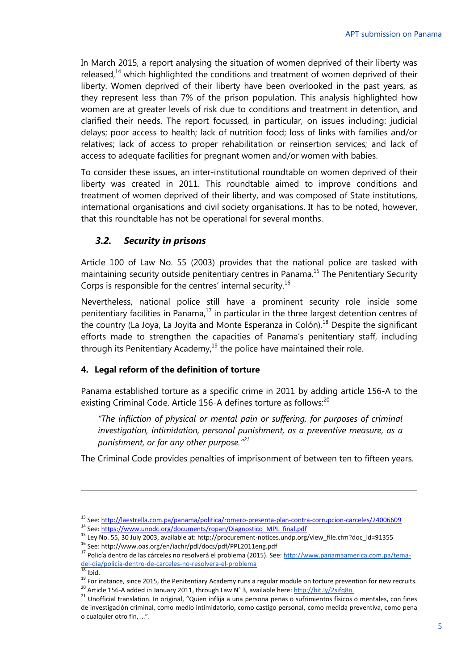In March 2015, a report analysing the situation of women deprived of their liberty was released, $^{14}$  which highlighted the conditions and treatment of women deprived of their liberty. Women deprived of their liberty have been overlooked in the past years, as they represent less than 7% of the prison population. This analysis highlighted how women are at greater levels of risk due to conditions and treatment in detention, and clarified their needs. The report focussed, in particular, on issues including: judicial delays; poor access to health; lack of nutrition food; loss of links with families and/or relatives; lack of access to proper rehabilitation or reinsertion services; and lack of access to adequate facilities for pregnant women and/or women with babies.

To consider these issues, an inter-institutional roundtable on women deprived of their liberty was created in 2011. This roundtable aimed to improve conditions and treatment of women deprived of their liberty, and was composed of State institutions, international organisations and civil society organisations. It has to be noted, however, that this roundtable has not be operational for several months.

# *3.2. Security in prisons*

Article 100 of Law No. 55 (2003) provides that the national police are tasked with maintaining security outside penitentiary centres in Panama.<sup>15</sup> The Penitentiary Security Corps is responsible for the centres' internal security.<sup>16</sup>

Nevertheless, national police still have a prominent security role inside some penitentiary facilities in Panama, $17$  in particular in the three largest detention centres of the country (La Joya, La Joyita and Monte Esperanza in Colón).<sup>18</sup> Despite the significant efforts made to strengthen the capacities of Panama's penitentiary staff, including through its Penitentiary Academy, $^{19}$  the police have maintained their role.

## **4. Legal reform of the definition of torture**

Panama established torture as a specific crime in 2011 by adding article 156-A to the existing Criminal Code. Article 156-A defines torture as follows:<sup>20</sup>

*"The infliction of physical or mental pain or suffering, for purposes of criminal investigation, intimidation, personal punishment, as a preventive measure, as a punishment, or for any other purpose."<sup>21</sup>*

The Criminal Code provides penalties of imprisonment of between ten to fifteen years.

<sup>13</sup> See[: http://laestrella.com.pa/panama/politica/romero-presenta-plan-contra-corrupcion-carceles/24006609](http://laestrella.com.pa/panama/politica/romero-presenta-plan-contra-corrupcion-carceles/24006609)

<sup>14</sup> See[: https://www.unodc.org/documents/ropan/Diagnostico\\_MPL\\_final.pdf](https://www.unodc.org/documents/ropan/Diagnostico_MPL_final.pdf)

<sup>15</sup> Ley No. 55, 30 July 2003, available at: http://procurement-notices.undp.org/view\_file.cfm?doc\_id=91355

<sup>16</sup> See: http://www.oas.org/en/iachr/pdl/docs/pdf/PPL2011eng.pdf

<sup>17</sup> Policía dentro de las cárceles no resolverá el problema (2015). See[: http://www.panamaamerica.com.pa/tema](http://www.panamaamerica.com.pa/tema-del-dia/policia-dentro-de-carceles-no-resolvera-el-problema)[del-dia/policia-dentro-de-carceles-no-resolvera-el-problema](http://www.panamaamerica.com.pa/tema-del-dia/policia-dentro-de-carceles-no-resolvera-el-problema)

 $18$  Ibid.

<sup>&</sup>lt;sup>19</sup> For instance, since 2015, the Penitentiary Academy runs a regular module on torture prevention for new recruits.

<sup>20</sup> Article 156-A added in January 2011, through Law N° 3, available here[: http://bit.ly/2sifq8n.](http://bit.ly/2sifq8n)

<sup>21</sup> Unofficial translation. In original, "Quien inflija a una persona penas o sufrimientos físicos o mentales, con fines de investigación criminal, como medio intimidatorio, como castigo personal, como medida preventiva, como pena o cualquier otro fin, …".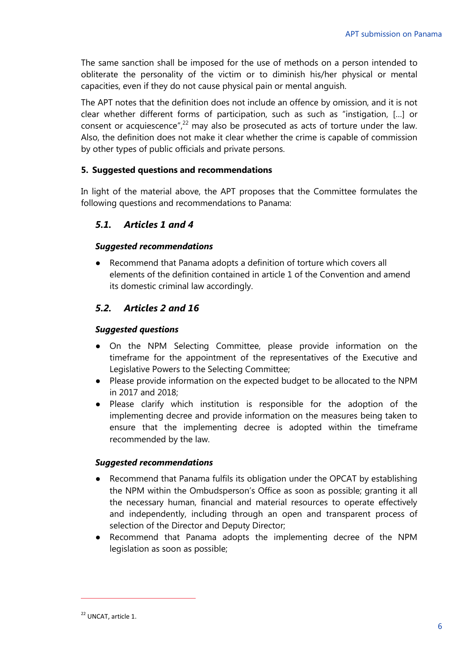The same sanction shall be imposed for the use of methods on a person intended to obliterate the personality of the victim or to diminish his/her physical or mental capacities, even if they do not cause physical pain or mental anguish.

The APT notes that the definition does not include an offence by omission, and it is not clear whether different forms of participation, such as such as "instigation, […] or consent or acquiescence",<sup>22</sup> may also be prosecuted as acts of torture under the law. Also, the definition does not make it clear whether the crime is capable of commission by other types of public officials and private persons.

## **5. Suggested questions and recommendations**

In light of the material above, the APT proposes that the Committee formulates the following questions and recommendations to Panama:

# *5.1. Articles 1 and 4*

## *Suggested recommendations*

● Recommend that Panama adopts a definition of torture which covers all elements of the definition contained in article 1 of the Convention and amend its domestic criminal law accordingly.

# *5.2. Articles 2 and 16*

# *Suggested questions*

- On the NPM Selecting Committee, please provide information on the timeframe for the appointment of the representatives of the Executive and Legislative Powers to the Selecting Committee;
- Please provide information on the expected budget to be allocated to the NPM in 2017 and 2018;
- Please clarify which institution is responsible for the adoption of the implementing decree and provide information on the measures being taken to ensure that the implementing decree is adopted within the timeframe recommended by the law.

## *Suggested recommendations*

- Recommend that Panama fulfils its obligation under the OPCAT by establishing the NPM within the Ombudsperson's Office as soon as possible; granting it all the necessary human, financial and material resources to operate effectively and independently, including through an open and transparent process of selection of the Director and Deputy Director;
- Recommend that Panama adopts the implementing decree of the NPM legislation as soon as possible;

 $\overline{a}$ 

<sup>22</sup> UNCAT, article 1.